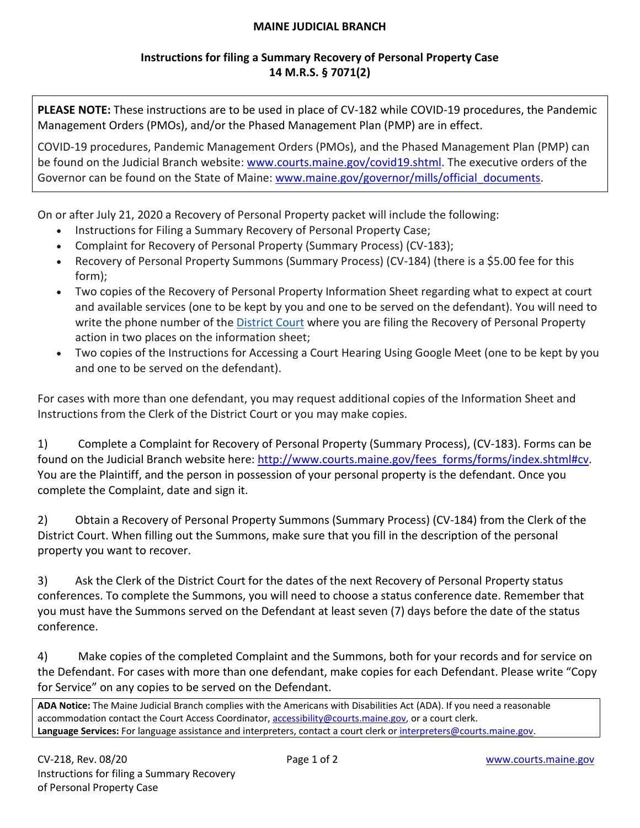### **MAINE JUDICIAL BRANCH**

## **Instructions for filing a Summary Recovery of Personal Property Case 14 M.R.S. § 7071(2)**

**PLEASE NOTE:** These instructions are to be used in place of CV-182 while COVID-19 procedures, the Pandemic Management Orders (PMOs), and/or the Phased Management Plan (PMP) are in effect.

COVID-19 procedures, Pandemic Management Orders (PMOs), and the Phased Management Plan (PMP) can be found on the Judicial Branch website: [www.courts.maine.gov/covid19.shtml.](http://www.courts.maine.gov/covid19.shtml) The executive orders of the Governor can be found on the State of Maine: www.maine.gov/governor/mills/official documents.

On or after July 21, 2020 a Recovery of Personal Property packet will include the following:

- Instructions for Filing a Summary Recovery of Personal Property Case;
- Complaint for Recovery of Personal Property (Summary Process) (CV-183);
- Recovery of Personal Property Summons (Summary Process) (CV-184) (there is a \$5.00 fee for this form);
- Two copies of the Recovery of Personal Property Information Sheet regarding what to expect at court and available services (one to be kept by you and one to be served on the defendant). You will need to write the phone number of the **District Court** where you are filing the Recovery of Personal Property action in two places on the information sheet;
- Two copies of the Instructions for Accessing a Court Hearing Using Google Meet (one to be kept by you and one to be served on the defendant).

For cases with more than one defendant, you may request additional copies of the Information Sheet and Instructions from the Clerk of the District Court or you may make copies.

1) Complete a Complaint for Recovery of Personal Property (Summary Process), (CV-183). Forms can be found on the Judicial Branch website here: [http://www.courts.maine.gov/fees\\_forms/forms/index.shtml#cv.](http://www.courts.maine.gov/fees_forms/forms/index.shtml#cv) You are the Plaintiff, and the person in possession of your personal property is the defendant. Once you complete the Complaint, date and sign it.

2) Obtain a Recovery of Personal Property Summons (Summary Process) (CV-184) from the Clerk of the District Court. When filling out the Summons, make sure that you fill in the description of the personal property you want to recover.

3) Ask the Clerk of the District Court for the dates of the next Recovery of Personal Property status conferences. To complete the Summons, you will need to choose a status conference date. Remember that you must have the Summons served on the Defendant at least seven (7) days before the date of the status conference.

4) Make copies of the completed Complaint and the Summons, both for your records and for service on the Defendant. For cases with more than one defendant, make copies for each Defendant. Please write "Copy for Service" on any copies to be served on the Defendant.

**ADA Notice:** The Maine Judicial Branch complies with the Americans with Disabilities Act (ADA). If you need a reasonable accommodation contact the Court Access Coordinator, [accessibility@courts.maine.gov,](mailto:accessibility@courts.maine.gov) or a court clerk. **Language Services:** For language assistance and interpreters, contact a court clerk o[r interpreters@courts.maine.gov.](mailto:interpreters@courts.maine.gov)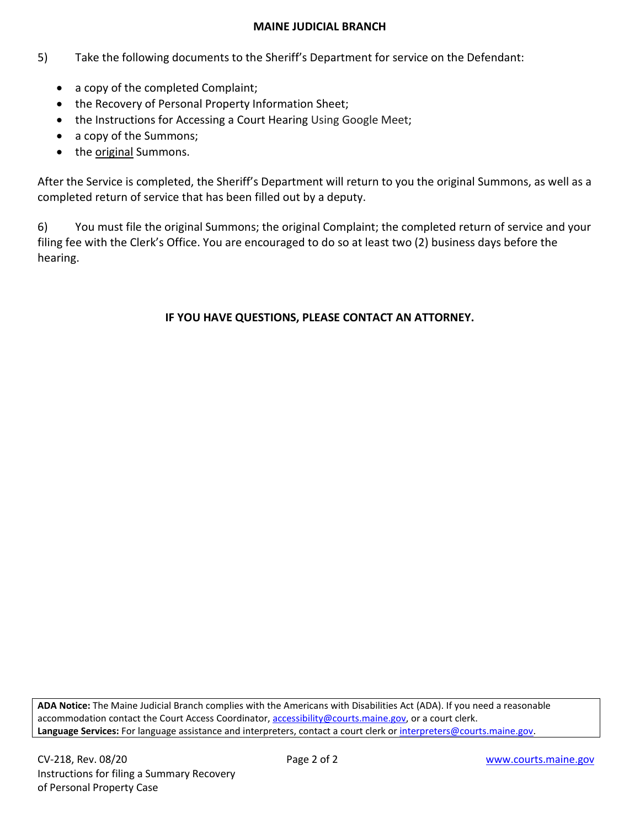### **MAINE JUDICIAL BRANCH**

- 5) Take the following documents to the Sheriff's Department for service on the Defendant:
	- a copy of the completed Complaint;
	- the Recovery of Personal Property Information Sheet;
	- the Instructions for Accessing a Court Hearing Using Google Meet;
	- a copy of the Summons;
	- the original Summons.

After the Service is completed, the Sheriff's Department will return to you the original Summons, as well as a completed return of service that has been filled out by a deputy.

6) You must file the original Summons; the original Complaint; the completed return of service and your filing fee with the Clerk's Office. You are encouraged to do so at least two (2) business days before the hearing.

### **IF YOU HAVE QUESTIONS, PLEASE CONTACT AN ATTORNEY.**

**ADA Notice:** The Maine Judicial Branch complies with the Americans with Disabilities Act (ADA). If you need a reasonable accommodation contact the Court Access Coordinator, **accessibility@courts.maine.gov**, or a court clerk. Language Services: For language assistance and interpreters, contact a court clerk or interpreters@courts.maine.gov.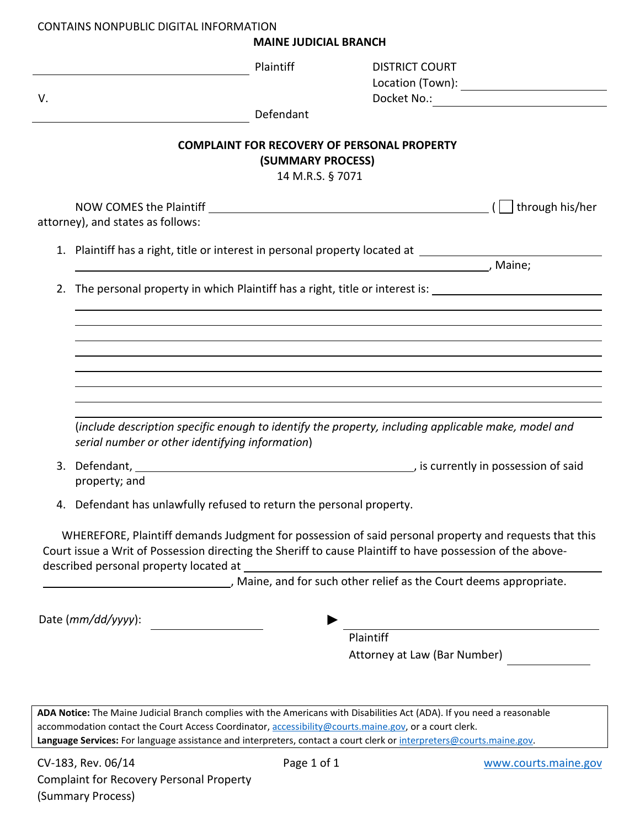#### CONTAINS NONPUBLIC DIGITAL INFORMATION

**MAINE JUDICIAL BRANCH**

|                                                                                                     | Plaintiff                                                                                                                                                                                                                        |           | <b>DISTRICT COURT</b>        |                 |  |  |
|-----------------------------------------------------------------------------------------------------|----------------------------------------------------------------------------------------------------------------------------------------------------------------------------------------------------------------------------------|-----------|------------------------------|-----------------|--|--|
| V.                                                                                                  |                                                                                                                                                                                                                                  |           |                              |                 |  |  |
|                                                                                                     |                                                                                                                                                                                                                                  | Defendant |                              |                 |  |  |
| <b>COMPLAINT FOR RECOVERY OF PERSONAL PROPERTY</b><br>(SUMMARY PROCESS)<br>14 M.R.S. § 7071         |                                                                                                                                                                                                                                  |           |                              |                 |  |  |
|                                                                                                     |                                                                                                                                                                                                                                  |           |                              | through his/her |  |  |
| attorney), and states as follows:                                                                   |                                                                                                                                                                                                                                  |           |                              |                 |  |  |
| 1. Plaintiff has a right, title or interest in personal property located at _______________________ |                                                                                                                                                                                                                                  |           |                              |                 |  |  |
| , Maine;                                                                                            |                                                                                                                                                                                                                                  |           |                              |                 |  |  |
| The personal property in which Plaintiff has a right, title or interest is:<br>2.                   |                                                                                                                                                                                                                                  |           |                              |                 |  |  |
|                                                                                                     |                                                                                                                                                                                                                                  |           |                              |                 |  |  |
|                                                                                                     |                                                                                                                                                                                                                                  |           |                              |                 |  |  |
|                                                                                                     |                                                                                                                                                                                                                                  |           |                              |                 |  |  |
|                                                                                                     |                                                                                                                                                                                                                                  |           |                              |                 |  |  |
|                                                                                                     |                                                                                                                                                                                                                                  |           |                              |                 |  |  |
|                                                                                                     |                                                                                                                                                                                                                                  |           |                              |                 |  |  |
|                                                                                                     | (include description specific enough to identify the property, including applicable make, model and<br>serial number or other identifying information)                                                                           |           |                              |                 |  |  |
|                                                                                                     | 3. Defendant, 2008 and 2009 and 2009 and 2009 and 2009 and 2009 and 2009 and 2009 and 2009 and 2009 and 2009 and 2009 and 2009 and 2009 and 2009 and 2009 and 2009 and 2009 and 2009 and 2009 and 2009 and 2009 and 2009 and 2   |           |                              |                 |  |  |
|                                                                                                     | property; and                                                                                                                                                                                                                    |           |                              |                 |  |  |
|                                                                                                     | 4. Defendant has unlawfully refused to return the personal property.                                                                                                                                                             |           |                              |                 |  |  |
|                                                                                                     |                                                                                                                                                                                                                                  |           |                              |                 |  |  |
|                                                                                                     | WHEREFORE, Plaintiff demands Judgment for possession of said personal property and requests that this<br>Court issue a Writ of Possession directing the Sheriff to cause Plaintiff to have possession of the above-              |           |                              |                 |  |  |
|                                                                                                     | described personal property located at                                                                                                                                                                                           |           |                              |                 |  |  |
| Maine, and for such other relief as the Court deems appropriate.                                    |                                                                                                                                                                                                                                  |           |                              |                 |  |  |
|                                                                                                     |                                                                                                                                                                                                                                  |           |                              |                 |  |  |
| Date (mm/dd/yyyy):                                                                                  |                                                                                                                                                                                                                                  |           |                              |                 |  |  |
|                                                                                                     |                                                                                                                                                                                                                                  |           | Plaintiff                    |                 |  |  |
|                                                                                                     |                                                                                                                                                                                                                                  |           | Attorney at Law (Bar Number) |                 |  |  |
|                                                                                                     |                                                                                                                                                                                                                                  |           |                              |                 |  |  |
|                                                                                                     |                                                                                                                                                                                                                                  |           |                              |                 |  |  |
|                                                                                                     | ADA Notice: The Maine Judicial Branch complies with the Americans with Disabilities Act (ADA). If you need a reasonable<br>accommodation contact the Court Access Coordinator, accessibility@courts.maine.gov, or a court clerk. |           |                              |                 |  |  |
|                                                                                                     | Language Services: For language assistance and interpreters, contact a court clerk or interpreters@courts.maine.gov.                                                                                                             |           |                              |                 |  |  |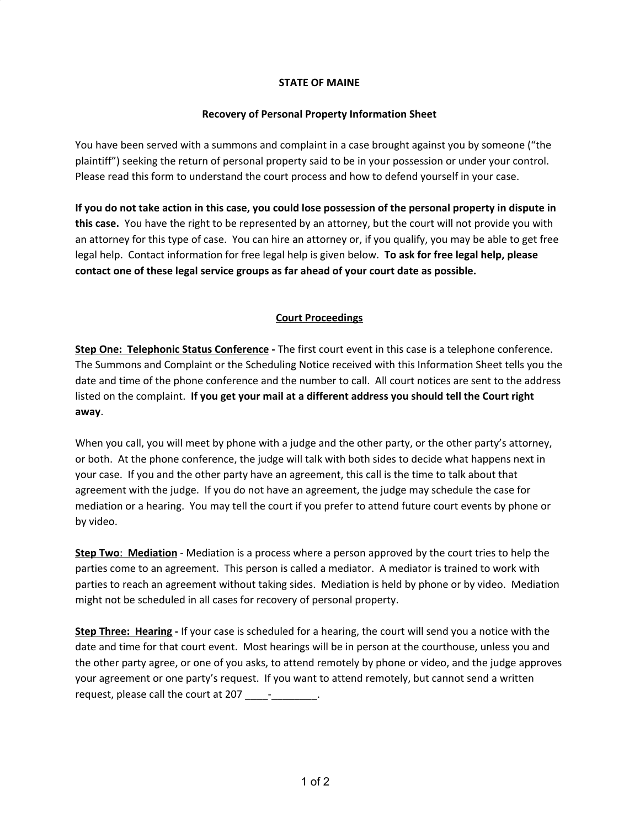#### **STATE OF MAINE**

#### **Recovery of Personal Property Information Sheet**

You have been served with a summons and complaint in a case brought against you by someone ("the plaintiff") seeking the return of personal property said to be in your possession or under your control. Please read this form to understand the court process and how to defend yourself in your case.

If you do not take action in this case, you could lose possession of the personal property in dispute in **this case.** You have the right to be represented by an attorney, but the court will not provide you with an attorney for this type of case. You can hire an attorney or, if you qualify, you may be able to get free legal help. Contact information for free legal help is given below. **To ask for free legal help, please contact one of these legal service groups as far ahead of your court date as possible.**

### **Court Proceedings**

**Step One: Telephonic Status Conference -** The first court event in this case is a telephone conference. The Summons and Complaint or the Scheduling Notice received with this Information Sheet tells you the date and time of the phone conference and the number to call. All court notices are sent to the address listed on the complaint. **If you get your mail at a different address you should tell the Court right away**.

When you call, you will meet by phone with a judge and the other party, or the other party's attorney, or both. At the phone conference, the judge will talk with both sides to decide what happens next in your case. If you and the other party have an agreement, this call is the time to talk about that agreement with the judge. If you do not have an agreement, the judge may schedule the case for mediation or a hearing. You may tell the court if you prefer to attend future court events by phone or by video.

**Step Two**: **Mediation** - Mediation is a process where a person approved by the court tries to help the parties come to an agreement. This person is called a mediator. A mediator is trained to work with parties to reach an agreement without taking sides. Mediation is held by phone or by video. Mediation might not be scheduled in all cases for recovery of personal property.

**Step Three: Hearing -** If your case is scheduled for a hearing, the court will send you a notice with the date and time for that court event. Most hearings will be in person at the courthouse, unless you and the other party agree, or one of you asks, to attend remotely by phone or video, and the judge approves your agreement or one party's request. If you want to attend remotely, but cannot send a written request, please call the court at 207 \_\_\_\_\_\_\_\_\_\_\_\_.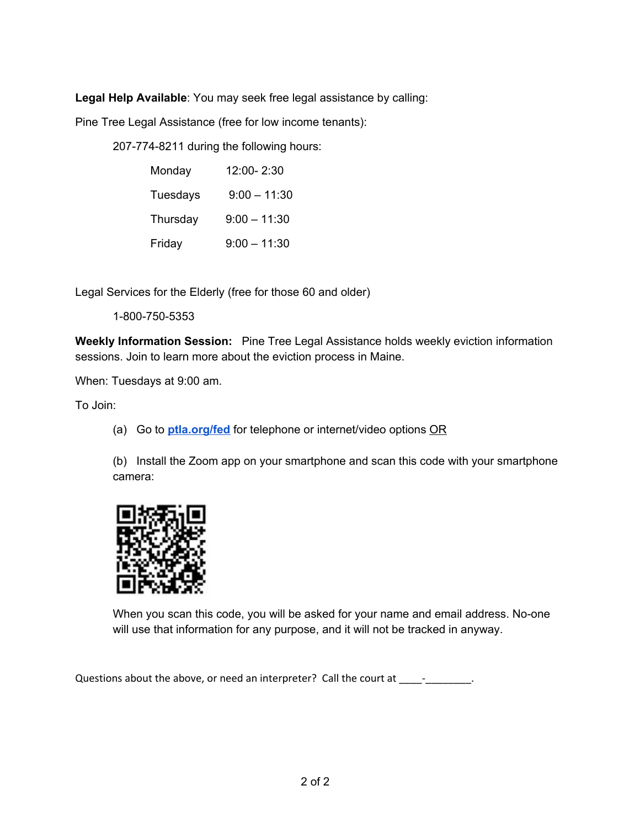**Legal Help Available**: You may seek free legal assistance by calling:

Pine Tree Legal Assistance (free for low income tenants):

207-774-8211 during the following hours:

| Monday   | 12:00-2:30     |  |  |
|----------|----------------|--|--|
| Tuesdays | $9:00 - 11:30$ |  |  |
| Thursday | $9:00 - 11:30$ |  |  |
| Friday   | $9:00 - 11:30$ |  |  |

Legal Services for the Elderly (free for those 60 and older)

1-800-750-5353

**Weekly Information Session:** Pine Tree Legal Assistance holds weekly eviction information sessions. Join to learn more about the eviction process in Maine.

When: Tuesdays at 9:00 am.

To Join:

(a) Go to **[ptla.org/fed](http://ptla.org/fed)** for telephone or internet/video options OR

(b) Install the Zoom app on your smartphone and scan this code with your smartphone camera:



When you scan this code, you will be asked for your name and email address. No-one will use that information for any purpose, and it will not be tracked in anyway.

Questions about the above, or need an interpreter? Call the court at \_\_\_\_-\_\_\_\_\_\_\_.